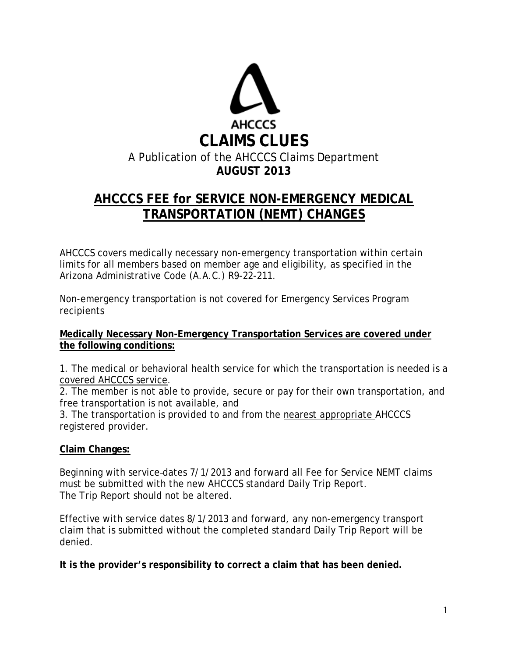

# **AHCCCS FEE for SERVICE NON-EMERGENCY MEDICAL TRANSPORTATION (NEMT) CHANGES**

AHCCCS covers medically necessary non-emergency transportation within certain limits for all members based on member age and eligibility, as specified in the Arizona Administrative Code (A.A.C.) R9-22-211.

Non-emergency transportation is not covered for Emergency Services Program recipients

#### **Medically Necessary Non-Emergency Transportation Services are covered under the following conditions:**

1. The medical or behavioral health service for which the transportation is needed is a covered AHCCCS service.

2. The member is not able to provide, secure or pay for their own transportation, and free transportation is not available, and

3. The transportation is provided to and from the nearest appropriate AHCCCS registered provider.

## **Claim Changes:**

Beginning with service dates 7/1/2013 and forward all Fee for Service NEMT claims must be submitted with the new AHCCCS standard Daily Trip Report. The Trip Report should not be altered.

Effective with service dates 8/1/2013 and forward, any non-emergency transport claim that is submitted without the completed standard Daily Trip Report will be denied.

**It is the provider's responsibility to correct a claim that has been denied.**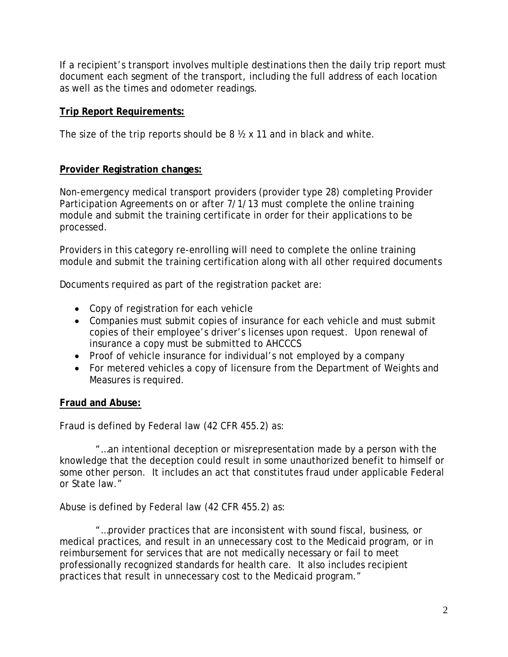If a recipient's transport involves multiple destinations then the daily trip report must document each segment of the transport, including the full address of each location as well as the times and odometer readings.

#### **Trip Report Requirements:**

The size of the trip reports should be 8 ½ x 11 and in black and white.

## **Provider Registration changes:**

Non-emergency medical transport providers (provider type 28) completing Provider Participation Agreements on or after 7/1/13 must complete the online training module and submit the training certificate in order for their applications to be processed.

Providers in this category re-enrolling will need to complete the online training module and submit the training certification along with all other required documents

Documents required as part of the registration packet are:

- Copy of registration for each vehicle
- Companies must submit copies of insurance for each vehicle and must submit copies of their employee's driver's licenses upon request. Upon renewal of insurance a copy must be submitted to AHCCCS
- Proof of vehicle insurance for individual's not employed by a company
- For metered vehicles a copy of licensure from the Department of Weights and Measures is required.

## **Fraud and Abuse:**

Fraud is defined by Federal law (42 CFR 455.2) as:

 "…an intentional deception or misrepresentation made by a person with the knowledge that the deception could result in some unauthorized benefit to himself or some other person. It includes an act that constitutes fraud under applicable Federal or State law."

Abuse is defined by Federal law (42 CFR 455.2) as:

 "…provider practices that are inconsistent with sound fiscal, business, or medical practices, and result in an unnecessary cost to the Medicaid program, or in reimbursement for services that are not medically necessary or fail to meet professionally recognized standards for health care. It also includes recipient practices that result in unnecessary cost to the Medicaid program."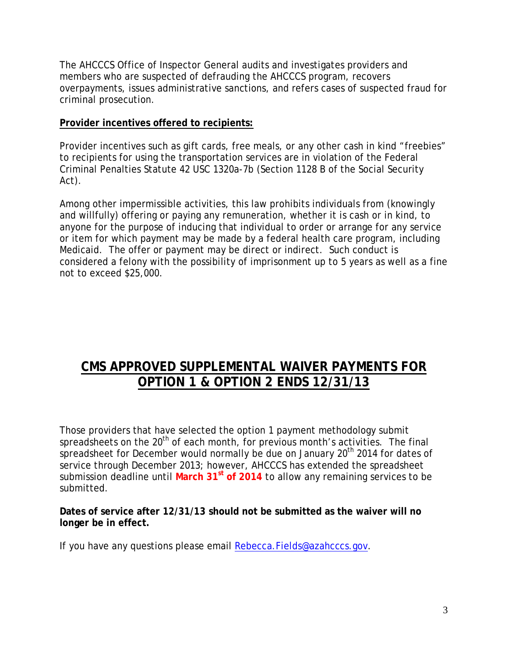The AHCCCS Office of Inspector General audits and investigates providers and members who are suspected of defrauding the AHCCCS program, recovers overpayments, issues administrative sanctions, and refers cases of suspected fraud for criminal prosecution.

## **Provider incentives offered to recipients:**

Provider incentives such as gift cards, free meals, or any other cash in kind "freebies" to recipients for using the transportation services are in violation of the Federal Criminal Penalties Statute 42 USC 1320a-7b (Section 1128 B of the Social Security Act).

Among other impermissible activities, this law prohibits individuals from (knowingly and willfully) offering or paying any remuneration, whether it is cash or in kind, to anyone for the purpose of inducing that individual to order or arrange for any service or item for which payment may be made by a federal health care program, including Medicaid. The offer or payment may be direct or indirect. Such conduct is considered a felony with the possibility of imprisonment up to 5 years as well as a fine not to exceed \$25,000.

# **CMS APPROVED SUPPLEMENTAL WAIVER PAYMENTS FOR OPTION 1 & OPTION 2 ENDS 12/31/13**

Those providers that have selected the option 1 payment methodology submit spreadsheets on the 20<sup>th</sup> of each month, for previous month's activities. The final spreadsheet for December would normally be due on January  $20<sup>th</sup>$  2014 for dates of service through December 2013; however, AHCCCS has extended the spreadsheet submission deadline until March 31<sup>st</sup> of 2014 to allow any remaining services to be submitted.

**Dates of service after 12/31/13 should not be submitted as the waiver will no longer be in effect.**

If you have any questions please email [Rebecca.Fields@azahcccs.gov.](mailto:Rebecca.Fields@azahcccs.gov)